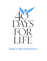

# **DAILY DEVOTIONALS**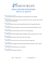

## **DAILY PRAYER INTENTIONS March 2 to April 10**

#### **Day of Preparation** */* **March 1:**

For God's blessing upon all participating in the coming 40 Days for Life campaign.

#### **Day 1 / March 2:**

That we may use these 40 Days for Life to plead for God's mercy and grace upon all those involved in the sin of abortion.

#### **Day 2 / March 3:**

Let us pray that pastors may not be distracted from the priority of caring for human lives.

#### **Day 3 / March 4:**

We pray for God's gift of strength as we strive to protect human life during 40 Days for Life.

#### **Day 4 / March 5:**

May the mystery of the incarnation increase our zeal for defending life.

#### **Day 5 / March 6:**

May the truth of the final judgment shape our thoughts, priorities, and choices here on earth.

#### **Day 6 / March 7:**

That knowing the shortness of life, all may value it more deeply.

#### **Day 7 / March 8:**

May we have a heart and a zeal to save the poor and release the oppressed.

#### **Day 8 / March 9:**

May the spirit and example of the Good Samaritan fill the hearts and minds of all our citizens.

#### **Day 9 / March 10:**

May we grow in joy, knowing we serve a living God.

#### **Day 10 / March 11:**

Pray for your local pregnancy help center.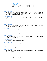

#### **Day 11 / March 12:**

Pray that when those representing Planned Parenthood and other abortion groups see volunteers for 40 Days for Life, they see ambassadors of Christ, and may each volunteer be consciously aware at all times we represent Him.

#### **Day 12 / March 13:**

May the King of the Universe, who entered this world as a helpless infant, give us the humility to be healed.

#### **Day 13 / March 14:**

For all fathers who are terrified of being fathers

#### **Day 14 / March 15:**

Pray that the abortionists and all workers in abortion facilities would be troubled in their souls regarding their work and would seek truth.

#### **Day 15 / March 16:**

May God's people awaken to the fact that we are our brothers' keepers.

#### **Day 16 / March 17:**

Pray for the mothers going into pregnancy help centers.

#### **Day 17 / March 18:**

May all understand more deeply that the pro-life message is rooted in the two basic truths of life: 1) There is a God; 2) He isn't me

#### **Day 18 / March 19:**

We pray for a flowering of the joy of parenthood.

#### **Day 19 / March 20:**

We pray for a renewal of our zeal to offer generous help to the unborn and their families.

#### **Day 20 / March 21:**

That we may realize the generational impact of abortion.

#### **Day 21 / March 22:**

Pray that we each will daily put on the full armor of God, so that we are strong in the Lord and the power of His might.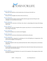

#### **Day 22 / March 23:**

May those who hold life as trivial realize that we live because God wills it so.

#### **Day 23 / March 24:**

We pray for the strength to love those who do not love us.

#### **Day 24 / March 25:**

Pray that God will continue to bless the efforts that have gone into the 40 Days for Life campaign, as we trust Him for the results.

#### **Day 25 / March 26:**

We pray for the conversion of all those who refuse to acknowledge that human life belongs only to God.

#### **Day 26 / March 27:**

Pray that those who have forgotten their purpose may discover it in God and therefore have the courage to choose life.

#### **Day 27 / March 28:**

We pray for humility in our work for God's Kingdom.

#### **Day 28 / March 29:**

We pray for the conversion of abortionists and all abortion advocates.

#### **Day 29 / March 30:**

Praise God for His compassion in pardoning our sins and forgiving our transgressions. Give praise that He delights in showing mercy.

#### **Day 30 / March 31:**

That those tempted to abort may understand that their child is already present, and already a real person.

#### **Day 31 / April 1:**

For the medical community, that the truth they know about the human body may become awe and wonder at the God who made it.

#### **Day 32 / April 2:**

As we pray for the end of abortion, let us pray for the expansion of the pregnancy help center movement worldwide.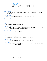

#### **Day 33 / April 3:**

May we absorb the truth that God is paying attention to us, and to each human life, personally and individually.

#### **Day 34 / April 4:**

May we come to know that divine life, in relationship, creates human life.

#### **Day 35 / April 5:**

Pray for post-abortive women who cannot forgive themselves; may they understand that there is no condemnation for those who are in Christ Jesus.

#### **Day 36 / April 6:**

We pray for the gift of openness to children.

#### **Day 37 / April 7:**

Pray that we will each submit ourselves this day as a living sacrifice to God, giving all that we have in us for those being sacrificed on the altar of convenience.

#### **Day 38 / April 8:**

Pray that those standing in peaceful vigil will extend mercy and grace to others as they remember that Christ did not treat us as our sins deserve.

#### **Day 39 / April 9:**

Pray that volunteers will replace exhaustion or discouragement with rejoicing over the miracles we have seen thus far, and enthusiastic service as God takes us on to victory!

#### **Day 40 / April 10:**

Let us keep our eyes fixed on the New Jerusalem, where death will be no more.

#### **Day 41/ April 11:**

Pray that the witness of 40 Days for Life bears abundant fruit, and that we begin again each day to storm the gates of hell until God welcomes us into the gates of heaven.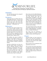

*Devotional for Preparation, Tuesday, March 1 Carmen Pate, former 40 Days for Life board member*

#### **Intention:**

For God's blessing upon the coming 40 Days for Life campaign.

#### **Scripture:**

If My people who are called by My name will humble themselves, and pray and seek My face, and turn from their wicked ways, then I will hear from heaven, and forgive their sin and heal their land. *— 2 Chronicles 7:14*

### **Reflection:**

Not unlike God's chosen people of Israel, we must humble ourselves, pray, seek His face, and turn from our wicked ways, if we expect God to hear from heaven, forgive our sin, and heal our land. The need for repentance has not been greater since the Supreme Court decision of *Roe v. Wade* in 1973.

The number one cause of death in America is the needless sacrifice of our children at the altar of convenience called abortion. Conservative estimates put the number of deaths at nearly 48 million.

And lest we think this is an issue outside the church walls, 43 percent of women obtaining abortions identify themselves as Protestant, and 27 percent identify themselves as Catholic. One in four women has at least one abortion by the age of 45 – both non-Christian and Christian alike. Where was the voice of Truth – the church?

Mary Comm of In Our Midst Ministries, Inc. sums up the issue best as she writes, "We (the church) have been an unintentional accomplice to the millions of lives lost and to the multiplied millions of lives devastated by abortion. We didn't want them to abort. We didn't mean for them to abort. But, because of our lack of knowledge, because of our fear, we have continued to stand by and do nothing.

"We, God's hands and feet in this dark and hurting world, have been unintentional, unknowledgeable accomplice, but an accomplice nonetheless."

May today mark the beginning of change within the church, as God's people, in unity, seek His forgiveness.

#### **Prayer:**

Heavenly Father, we have turned our backs on you and your principles in your Word. We have allowed man to usurp Your role as God over life andthe number of our days.

But we come to you in brokenness and repentance over our sin.

We cry out for Your mercy and ask you to remove the scourge of abortion from our land. Use us as your vessels, Lord, to bring the light of Your Truth to our nation once again. Because of Christ we pray, amen.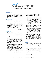

#### **Intention:**

That we may use these 40 Days for Life to plead for God's mercy and grace upon all those involved in the sin of abortion.

#### **Scripture:**

Blow the trumpet in Zion! Proclaim a fast, call an assembly. Gather the people, notify the congregation. Assemble the elders; gather the children and the infants at the breast… Let the priests, the ministers of the Lord, weep and say, "Spare, O Lord, your people."

*—Joel 2:15-17*

### **Reflection:**

The toll of abortion cannot be measured. We hear estimates of almost 50 million innocent victims, but that's only one aspect of the harm that has unfolded in abortion's wake. There are also the mothers and fathers of these mil- lions, as well as the grandparents, brothers and sisters, aunts, uncles, cousins. Unborn lives destroyed. Lives of the living shattered.

It's overwhelming and depressing, but even in the midst of such unfathomable darkness, the church teaches us to have hope. Yes, it was indeed Calvary that followed Christ's 40 days in the desert, but without Calvary there would have been no Resurrection – His victory over death that opened the gates of heaven to those who believe in and fol- low Him.

The psalmist encourages us to go humbly before God as we seek His will:

A clean heart create for me, O God, and a steadfast spirit renew within me… Give me back the joy of your salvation and a willing spirit sustain in me… O Lord, open my lips, and my mouth shall proclaim your praise (Psalm 51:12-17).

We are called to be God's messengers; or as the Apostle Paul wrote:

We are ambassadors for Christ, as if God were appealing through us. We implore you on behalf of Christ: be reconciled to God (2 Corinthians 5:20).

That is the true message to all we encounter at the abortion centers and in our communities who have been deceived by the Culture of Death. We don't bring condemnation; we bring God's good news.

#### **Prayer:**

Lord, we ask for the strength, courage, wisdom, determination and stamina to carry out this mission according to Your will.

Guide us, we pray, as we go forth and proclaim Your truth, always doing so with a spirit of love and compassion, as was demonstrated to us through the work of Your Son, Jesus Christ. In His name we pray, amen.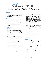

*Devotional for Day 2, Thursday, March 3 Rev. Clenard Childress, LEARN (Life Education and Resource Network)*

### **Intention:**

Let us pray that pastors may not be distracted from the priority of caring for human lives.

### **Scripture:**

In those days, when the number of the disciples was multiplying, there arose a complaint against the Hebrews by the Hellenists, because their widows were neglected in the daily distribution.

*— Acts 6:1*

## **Reflection:**

More folks learning left some yearning.

It is the dawning of a new day. There is much excitement in Jerusalem. Many who dedicated themselves to the faith became disciples (the word disciple means "learner").

The unprecedented church growth was miraculous and undoubtedly brought much satisfaction to the new leadership. The apostles, however, were about to experience growing pains in their master plan of evangelism.

Projects that engage the community, especially those that are evangelistic in nature, are high on the list of priorities for every duty-bound pastor.

Church attendance is a constant concern for every pastor and often his or her worth is measured by it.

Unfortunately, just as the original twelve pastors in Acts, they can be so focused on getting people in that they inadvertently end up pushing some people out. Murmuring is a deplorable deterrent to a harmonious fellowship, yet God used it to get the disciples attention. Those that needed daily attention due to their age and social status were being neglected.

This neglect of the Hellenist widows during the daily distribution of food was causing undue grief and needed to be corrected by the leadership. ByGod's grace the problem was dealtwith, but the lesson remains.

And during these 40 days, let us pray that today's church not make the same mistake of forgetting the contributions of our seniors, or the needs of the weakest among us, the unborn.

#### **Prayer:**

Father, in the Church's desire to engage our communities with the gospel let her not disengage from those who need their care and company the most.

Let us gain wisdom from those who have gone before us and cherish their experiences and perspectives. Help us to appreciate every soul in the body of Christ and minister properly to everybody. Amen.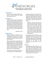

*Devotional for Day 3, Friday, March 4 Dennis DiMauro, Lutherans for Life*

#### **Intention:**

We pray for God's gift of strength as we strive to protect human life during these 40 Days for Life.

### **Scripture:**

Therefore I tell you, do not worry about your life, what you will eat ordrink; or about your body, what youwill wear. Is not life more importantthan food, and the body more im- portant than clothes? Look at the birds of the air; they do not sow or reap or store away in barns, and yet your heavenly Father feeds them. Are you not much more valuable than they?

*—Matthew 6:25-26*

### **Reflection:**

Billions of dollars are spent each year on diet plans. But Jesus tells us to stop worrying so much about our bodies, and instead to trust in God's care for our physical needs

What would happen if the people who had started on a low-carb diet this year had instead gone on a diet of heavenly food? For non-believers that diet would include trusting in Christ for their salvation, and for believers it would include a renewed prayer life, a new Bible study, or even a spiritual fast.

This diet doesn't include giving up on certain kinds of foods. What this diet

includes is giving up on anxiety by resting in the loving arms of Christ, trusting that He will provide. Such a spiritual diet also frees us from our worries, and allows us to freely praise Him and serve others. Christ's words bear repeating:

Therefore I tell you, do not worry about your life, what you will eat or drink; or about your body, what you will wear. Is not life more important than food, and the body more important than clothes? Look at the birds of the air; they do not sow or reap or store away in barns, and yet your heavenly Father feeds them. Are you not much more valuable than they?

This promised provision teaches us the inestimable worth of our lives. He will not allow us to go without. This intimate knowledge and care for humanlife on the part of our gracious God is what motivates us to seek for the preservation of human life in all its stages.

#### **Prayer:**

Loving heavenly Father, help us to see the worth of all human beings by the way in which you provide for us. We would ask that you provide also the faith, grace and courage to enable us to protect that which is so precious to you. Through Christ our Lord, amen.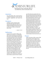

*Devotional for Day 4, Saturday, March 5 Lisa Robertson, Duck Commander Clan*

#### **Intention:**

For each female who is faced with an unplanned pregnancy to know that she is loved, supported, and favored by God.

#### **Scripture:**

Suddenly a great company of the heavenly host appeared with the angel, praising God and saying, "Glory to God in the highest heaven, and on earth peace to those on whom his favor rests."

*— Luke 2: 13-14*

### **Reflection:**

Pregnant? How can this be? When a girl finds out she's pregnant, it's unbelievable. She wonders how it happened. I think she knows how it happens but she didn't think it would happen to her. This is something that happens to other girls. She needs to tell someone. She needs to talk it through. But who? Who can she trust with her secret? A secret that, by the way, won't be a secret in a few months. I was that girl. I had sexual relations with my boyfriend and then it just happened! That's the way God designed it. Your body doesn't know if the person you're intimate with is your boyfriend, husband or offender. It just does what it was designed to do. But again, who can I trust with this secret? The year I became pregnant at 16 was the first year our pregnancy center started in a doctor's office. Embrace Grace wasn't started yet. You could not see a doctor as a minor without a parent. Oh, how I needed

a pro-life advocate to speak truth to me. But I only had misinformed parents and a dishonest abortion clinic. Just as Mary had Elizabeth and Elizabeth had Mary to share their unbelievable news with, we need someone to trust. Someone to comfort, console and speak life and truth to us. Both Elizabeth and Mary needed to share Gods amazing gift with someone. Girls, young women and older women need to know that God has done an amazing thing in their womb. Life has begun and it is to be celebrated. Any life, no matter the mode of conception. Let's always celebrate a life within a womb as a gift! Just as the great company of heavenly hosts and the angel praised, "Glory to God in the highest heaven, and on earth peace to those on whom his favor rests." Any woman who is blessed to have a life created within her has been shown favor!

#### **Prayer:**

Father God, giver of life, creator of life and sustainer of life, thank you for each life you give us. Father, I pray each one that is faced with a decision will choose life and know that she is favored by you. I pray, we, your mouthpieces, will console, comfort, support and equip your mothers to make the decision to choose life. Help us Lord to love and comfort those who do not.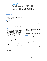

*Devotional for Day 5, Sunday, March 6 Rev. Ben Sheldon, President Emeritus, Presbyterians Pro-Life*

#### **Intention:**

May the truth of the final judgment shape our thoughts, priorities, and choices here on earth.

#### **Scripture:**

The King will answer and say to them, "Assuredly, I say to you, inasmuch as you did it to one of the least of thesemy brethren, you did it to me."

*—Matthew 25:31-46*

### **Reflection:**

Jesus' picture of the final judgment concludes with this sobering word: the wicked, who failed to care for others in their various needs (the hungry, the thirsty, the aliens, the naked, the sick, the imprisoned) will go away into everlasting punishment, but the righteous who did seek to meet those needs will end up with him, enjoying eternal life.

We know that this was no mere parable! Jesus has given us fair warning!

Everything in God's Word points to the truth that compassionate concern and practical care for all people, especially for the poor, the destitute, the weak and needy is required of us, if indeed we hope to escape the punishment of the fire of hell.

And who are the poor and needy, if not helpless, unborn babies, as well as the aged and infirm at the other end of life?

Surely the "least of these" embraces not only those at both ends of the continuum of life, but all others in between.

Just how we, as Christ's true followers, respond to his admonition "inasmuch as you did it to the least of these, you did it to me" will determine whetherwe enjoy eternal bliss in his presence or the bleak and dreadful reality of eternal punishment in hell.

Caring for others is not optional. Nothing in God's Word could be clearer!

#### **Prayer:**

Gracious and merciful Father, we gladly embrace your Word, in which you counsel us to care for the least of your children.

We renew our dedication to defending the unborn and all whose right to life is compromised by our godless society's selfish lack of concern.

Free us from our own failures and sins so that we will be truly pro-life in every area of our lives. Through Jesus Christ our Lord. Amen.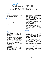

*Devotional for Day 6, Monday, March 7 Rev. Paul Stallsworth, Lifewatch (United Methodist Church)*

#### **Intention:**

That knowing the shortness of life, all may value it more deeply.

#### **Scripture:**

Remember your Creator before the silver cord is loosed, or the golden bowl is broken, or the pitcher shattered at the fountain, or the wheel broken at the well.

Then the dust will return to the earth as it was, and the spirit will return to God who gave it.

*—Ecclesiastes 12:6-7*

### **Reflection:**

God is giver of all life. Short lived or long lived, human lives are lived out in this world.

The metaphors for death are many. But their meaning is clear and singular: all will die. Even so, death is not the absolute end. It is not the end of the story.

For as certainly as God gave life, at death the life or spirit that God gave returns to God.

By God, we are created. For God, welive our given days. To God, we return at the end of our earthly days. And withGod, we live through eternity.

Clearly, all along the way, this gracious, loving God is with us. No human life is random or alone. No human life was created without purpose. Not one human life is without destiny.

All human lives, acknowledged or not, are related to God -- from beginning, to end, throughout eternity.

Therefore, in this world, all human lives are to be respected and protected,for their lives are signs of God's sovereignty.

#### **Prayer:**

O God, we too often try to live in ways that ignore our coming death. We forget that our days are numbered by You, that at the end of our days your judgment awaits, that You are the Lord of our destiny.

Help us to repent daily, and then to live each day in joyful obedience. Lead us to live in the light and promise of eternity.

Prepare us to live fully and sacrificially.

Prepare us to die faithfully and hopefully, so that we might live forever with You. Through Jesus Christ, who has gone before us, we trust and hope and love and pray. Amen.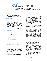

*Devotional for Day 7, Tuesday, March 8 Fr. Terry Gensemer, National Director, Charismatic Episcopal Church for Life*

#### **Intention:**

May we have a heart and a zeal to save the poor and release the oppressed.

### **Scripture:**

The Spirit of the Lord is upon Me, because He has anointed Me to preach the gospel to the poor; He has sent Me to heal the brokenhearted, to proclaim liberty to the captives and recovery of sight to the blind, to set at liberty those who are oppressed.

*—Luke 4:18-19*

### **Reflection:**

This passage is a very familiar one. It has been preached on many occasions, even made popular in books and songs.

Though the quote is about Jesus, all Christians take this commission seriously as a directive on how to reach the world with the gospel.

We, like our Savior, are to bring the good news to the poor, the broken hearted, those in captivity, those who cannot see, and the oppressed.

The commission given to us in this passage is clearly a charge to care for those for whom God cares the most. I wonder though, whom do we look forto be touched by the Holy Spirit as we go out into the world?

Who are the poor, if not those unborn children who have been abandoned by

their parents before they ever leave the womb? Who are the broken hearted, if not those unborn children whose only example of love is having their mother take them to an abortion clinic to be destroyed, or the mother of a child who has been deceived by everyone around her into believing that what she is doing is best for her and her child?

Who are the captives, if not those unborn children who are bound over to death by the "choice" of abortion?

Who is more blind than an unborn child in the darkness of a womb that has become a waiting room for theirdeath?

And who is more oppressed than those unborn children whose oppression has been legitimized by their government, their church and even their family and loved ones.

#### **Prayer:**

Lord, You empower us with Your Spirit to do your will in the earth.

Send us to the poorest, the most broken, the most captive, the most blind and the most oppressed in the world, the innocent pre-born children in their mother's wombs that are scheduled for destruction.

Help us to bring them healing, liberty, sight and justice through Jesus Christ our Lord, Amen.

*©2022 — 40 Days for Life [www.40daysforlife.com](http://www.40daysforlife.com/)*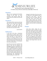

*Devotional for Day 8, Wednesday, March 9 Fr. Nolan Lowry, Director of Sanctity of Life Office, Diocese of*

#### **Intention:**

That we may recognize the Samaritan changes for the better. Once she comes "Woman at the Well" in every encounter with persons within the context and even outside of our pro-life efforts.

#### **Scripture:**

The woman left her water jar and went into the town and said to the people, "Come see a man who told me everything I have done. Could he possibly be the Messiah?" They went out of the town and came to him.

*— John 4:28-30*

#### **Reflection:**

In the heat of the day, a Samaritan woman goes to Jacob's well to draw water to satisfy her most basic form of thirst. She goes at a time when the crowds are absent because she is ashamed of her lifestyle. At the well, she encounters Jesus of Nazareth, who meets her "where she is" to accompany her to His truth and love.

Jesus thus uncovers her real thirst: the thirst of her soul for intimacy and belonging. The pain of loneliness, and thirst for fulfillment in life, has led her down a path of heartache. In response, He promises to give her living water that will quench her thirsting soul for good. The water of life is His love, His presence. Just by being with Jesus, and experiencing His compassion and understanding, the woman's life

to realize He is the Messiah, there is much joy in her heart  $-$  joy that overflows into her inviting others to meet Him. Jesus' voice, heard with sincere faith, softens the woman's heart, and changes her life forever. She embarks on a new journey of peace and intimacy with God after encountering Jesus.

#### **Prayer:**

Lord Jesus Christ, thank You for meeting me where I was before I really knew You, and thank You for leading me to Your love and truth. Help me to be Your presence to all those I meet at "the well" at work, the grocery store, the mall, even at my church. May I reserve my judgment and instead be Your instrument of healing and peace, so that I may lead each person to You, who live and reign forever and ever. Amen.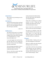

*Devotional for Day 9, Thursday, March 10 Day Gardner, President, National Black Pro-Life Union*

### **Intention:**

May we grow in joy, knowing we serve a living God.

### **Scripture:**

And the Word became flesh and dwelt among us, and we beheld His glory, the glory as of the only begotten of the Father, full of grace and truth. Jesus is every bit as real and alive for

## **Reflection:**

The Word of God came to us in human form in Jesus Christ. Every time I contemplate this fact I get chills! And Ithink it is something that we, as Christians, tend to gloss over. **Prayer:**

I can only imagine how the first disciples felt when they were looking into the eyes of the one and only Almighty God who created them.

The first disciples developed a close relationship with Him as they daily walked and talked with Him.

They ate with Him, prayed with Him and rested when He rested.

As they listened to the Word of God, who was and is Jesus, they believed and "beheld His glory."

Today, this is something we can still do because we serve a living God. Remember, Jesus died on the cross but rose from the dead in victory!

 $\frac{1}{\pi}$  all of us as He was to the first disciples.

He wants us to develop a close relationship with Him in the very same way. Jesus wants us to know Him personally. He wants us to walk with Him and talk with Him on a daily basis.

Heavenly Father, I thank you for your love and saving grace in Christ Jesus.

Help us to realize every day the great blessing we have in our Savior.

I pray that we will rise every morning with excitement and zeal, looking forward to walking another day in your footsteps fully knowing that you continue to dwell among us. Amen.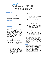

*Devotional for Day 10, Friday, March 11 Rev. John Ensor, PassionLife*

#### **Intention:**

Pray for your local pregnancy help center: for those who answer calls from women considering abortion, those who provide ultrasounds, and those who personally help mothers prepare to parent or place for adoption.

#### **Scripture:**

Rescue the weak and the needy; deliver them from the hand of the wicked.

*— Psalm 82:4*

### **Reflection:**

When a woman arrives at her local pregnancy help center, the hard work of "rescuing the weak" begins. They listen to her. What desperate circumstance is driving her? They act. A professional ultrasound and medical care is provided. They pray, "God use us." Then, they take up her burdens and work towards life. It is cross-bearing for the child-bearing.

Recently, I prayed for one volunteer who was working with one mother in her struggle. Here is what "rescue the weak" looked like in this one case:

- **Aug 3:** She made an appoint- is good! ment for Thursday to get an abortion and while she feels terrible about it, she also feels like she has no choice. Pray that her heart is changed!
- **Aug 10:** She is 12 weeks along but missed her appointment. She had some good conversations with people at the pregnancy center. She is now considering adoption. •
- **Aug 13:** Things are down again. She now has an abortion scheduled for Monday. Pray!
- **Aug 17:** Missed appointment! God is working in her life. •
- **Sept 1:** We've hit another rocky period. She has an abortion scheduled for tomorrow. She found out today that her parents are planning a trip to visit her and she is panicking. •
- **Sept 15:** Missed third appointment. But feels like she has no choice. Please pray today.  $\bullet$
- **Sept 20:** She fears her parents but has agreed to another ultrasound (a breakthrough). •
- **Sept 22:** I was there with her for her ultrasound. She saw her baby moving and made the realization that she wants to carry her baby. •

Please keep praying against attack by the enemy. We are overwhelmed by seeing God's hand move in this situation and are so very thankful for the prayers lifted up by each one of you. God

#### **Prayer:**

Father, we praise you for this one sister who gave herself, heart and soul, to rescue this one mother and baby. Omay you empower the hundreds more today who are serving in our pregnan- cy help centers. Grant those answering calls, providing ultrasound and follow- ing up with a bold spirit of truth, love and perseverance.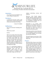

*Devotional for Day 11, Saturday, March 12 Jor-El Godsey, President, Heartbeat International*

Let us keep focused and faithful to the Lord's calling to champion life. Moreover, crisis breeds urgency.

#### **Scripture:**

I would have lost heart, unless I had believed that I would see the goodness of the Lord in the land of the living.

### **Reflection:**

Did you see the latest "breaking news" story?

Exactly.

There are so many. Every day. All the time.So much so that we are constantly bombarded by "Breaking News" from our social media feeds and email inboxes to the persistent crawl on our television screens. Yet what follows that label could be anything from an important update on a global crisis to a trivial announcement of the break-up of a Hollywood couple.

All of it is intentionally designed to distract us from our daily lives and immediate cares and gain our attention. That's because, to these media outlets, our attention means viewership, ratings, and clicks that

**Intention:** The enhance advertising revenue and **Intention:** influence.

> Outrage polarizes political partisans. And all of it is exhausting. When we try to respond to everything that upsets our sensibilities, breaking news can eventually break our spirit.

*—Psalm 27:13 (NKJV)* Distraction is an ancient tactic deployed in the biblical narrative to diminish the work of God - from Eve in the Garden to Samson to David to Nehemiah and more. Today we are bombarded with distractions.

Which one, you ask? us to accomplish is nearly as effective as if we quit altogether. Let's not give the devil that satisfaction.

> We need to keep our eyes more on "the goodness of the Lord" and less on the daily news.

#### **Prayer:**

Heavenly Father, keep our eyes firmly fixed on the good work You're doing in us, and want to do through us. Help us proclaim the Good News of the Lord Jesus in partnership with Your Holy Spirit. Grant me the discernment to avoid the things meant to distract me from faithfully fulfilling Your call to champion the Gift of Life. All honor and glory to You, the Giver of Life. Amen.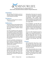

*Devotional for Day 12, Sunday, March 13 Kevin Burke, Executive Director, Rachel's Vineyard Ministries*

### **Intention:**

May the King of the Universe, who entered this world as a helpless infant,give us the humility to be healed.

### **Scripture:**

My power is made perfect in weakness. *—2 Corinthians 12:9*

### **Reflection:**

The great mystery of the Humility ofGod is very near and dear to the mis- sion of those serving in pro life and in aspecial way, post abortion ministries across this nation.

For those wounded by their participation in abortion, the door to healing often feels like crossing an abyss of great fear: fear of judgment, fear of being torn apart by the pain, by self hatred and rage at those who hurt and aban- doned you, and manipulated you in your time of temptation.

For men in particular, entering the unknown waters of emotional vulnerability, so necessary to healing calls for a different kind of courage that feels deceptively like weakness.

The door to healing is humility.

It is born in the inability to no longer control the pain, to live with the consequences of that tragic decision to reject life. The hearts cries out, "I have committed a grave offense against my Creator and I am consumed by regret, grief and sorrow!"

During these forty days let us pray for all who have participated in abortion and with love call them to healing and reconciliation. With healing these women and men can become as John Paul II proclaimed in the Gospel of Life, "the most eloquent defenders of everyone's right to life."

Jesus proclaimed, "I am the Vine, you are the branches" (John 15:5). To bear the greatest fruit, the branches must be pruned. Each level of pruning ofthe vine requires a deeper level of humility so that we can abandon ourselves toHis will.

This is not a lofty theological concept as much as it is an earthy experience of pulling weeds, tilling rocky soil, pruning and healing the vines. "If a man wishes to come after me, he must deny his very self, take up his cross, and begin to follow in my footsteps" (Mat- thew 16:24).

#### **Prayer:**

Lord, during these forty days, we ask that with each day of this sacred vigil, everything in us that separates us from your perfect will would be pruned from our hearts and souls.

In this blessed freedom may we experience a powerful anointing of your Holy Spirit. Filled with confidence and trust may we proclaim with the mother of Jesus, "Let it be done to me, according to your Word."

*©2022 — 40 Days for Life [www.40daysforlife.com](http://www.40daysforlife.com/)*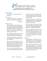

*Devotional for Day 13, Monday, March 14 Randolph Sly, National Pro-Life Religious Council*

### **Intention:**

For all fathers who are terrified of being fathers.

### **Scripture:**

A father of the fatherless, a defender of widows, is God in His holy habitation.

—*Psalm 68:5*

### **Reflection:**

I had a friend many years ago who confided in me that he was terrified of being a father. He and his wife alreadyhad two children when this revelation came forth. "I never knew my father," he explained, "and I have no idea whata father is supposed to do."

We continued to share about this, as well as pray together. He began to see he had a father's heart for his children.

His biggest problem was not a limitation on love but not knowing how to act out this love.

One day we talked about the verse quoted at the top of this page. I shared that he did know his Father… not his biological father but his Heavenly Father, who had rescued him from a life of destruction not many years before.

"How did your Heavenly Father guide you?" I asked. He talked about the ways

he had seen God's love offered to him and the way the Lord had used circumstances and the Scriptures to mold him and mature him.

"Well, the Lord wants to do the same thing through you for your children. Be available to His love and available to your kids. You'll do fine."

How wonderful it is to know that God takes a personal interest in each of us, many times using His faithful people – the Church – as channels of this love.

No one is fatherless who lives in the Lord. His fatherly care begins at the moment of our conception, as it is written, "you knit me together in my mother's womb" (Psalm 139:12), and continues to be poured upon us throughout our lives.

#### **Prayer:**

Heavenly Father, we thank you for caring about each of us so deeply. Help us to see and know you as our Father in heaven each and every day of our lives.

Your loving hand also rests on every child today carried in its mother's womb. May they be born into this world and come to know fully and per- sonally your endless love. We ask this through Jesus Christ our Lord. Amen.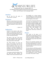

*Devotional for Day 14, Tuesday, March 15 Fr. Philomeno James, Marian Franciscan Priest, post abortive father, and 40 Days for Life campaign leader*

#### **Intention:**

Let us ask for the grace of "Perseverance" in prayer.

#### **Scripture:**

Blessed is a man who perseveres under trial, for once he has been approved, he will receive the crown of life, which the Lord has promised to those who love Him.

*— James 1:12*

### **Reflection:**

Outside of the abortion mills, these centres of destruction and denial of God's most precious gift of life, we see many of our spiritual soldiers praying for the conversion of hearts.

The heart is the key. If the heart converts, the Mother will not only save the child nestled in the womb, but future generations of that child.

The child somehow can sense the power of the prayer and the love directed towards itself, even if it has been rejected by many and even treated as a "disease" nowadays. You praying are the Lord's instrument of conversion outside the mill. The child somehow knows you are there.

Your prayer touched the Mother. Does the child then know whether the Mother's heart has turned back to God?

YES INDEED. As in Holy Scripture, when the Mother says "YES" to the plan of God, the child can even leap, as St. John the Baptist, in the womb.

Pray then for conversion of hearts but also pray for perseverance in this monumental spiritual struggle against the "culture of death." Perseverance to be always "available" at the "Modern Day Calvary" so that one day you may answer "YES" with humility to the question "Were you there with perseverance when they crucified my Lord?"

#### **Prayer:**

Lord, grant us the grace to be instruments of conversion of hearts to remove the spiritual blindness in the world and recognise all children as a beautiful gift of your Most Holy Divine Providence.

May we be converted ourselves and persevere each day and draw closer to your Most Merciful Heart, so that we can touch others and show them your Infinite Goodness.

We know that you will bring a greater good out of this evil of abortion. Did you not bring the greatest good ever, the Resurrection, from the greatest evil ever perpetrated by man, crucifying you on the "Tree of Life"? Amen.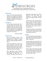

*Devotional for Day 15, Wednesday, March 16 Rev. Brian Walker, Program Director, Pro-Life Action* 

#### **Intention:**

As we cry out for those being led to death, let us remember the women and men who are weighing in the balance whether to turn their child over to a stranger to be killed, or to a stranger so their child can live.

#### **Scripture:**

So the woman conceived and bore a son. And when she saw that he was a beautiful child, she hid him three months. But when she could no longer hide him, she took an arc of bulrushes for him, daubed it with asphalt and pitch, put the child in it, and laid it in the reeds by the river's bank.

*— Exodus 2:3 (NKJV)*

### **Reflection:**

Such is the familiar account of the Hebrew woman whose trust in God compelled her to fashion a basket, place it in the Nile and deliver Moses to safety.

Thousands of sidewalk counselors and prayer supporters across the world pray for the day, the hour, the minute that God will use them to share with an expectant mother the precious act of releasing her child to be adopted.

That opportunity rarely happens. When it does, one will often hear, "...I'm not turning my baby over to a stranger!" The irony of her retort, by

keeping her appointment, she will be doing the very same thing. The abortionist, the ultimate stranger renders the adoption option null and void.

But let's not lose hope and continue to pray for those rare moments. We're really asking a lot. We are asking a woman to believe a total stranger, to place her yet to born child in a "basket", and launch him or her out to a stranger's care.

Think what would you or I do? Which "stranger" will I send my child to? How can we help the woman who's in fear, without hope and weary?

#### **Prayer:**

"The Lord has given me the tongue of the learned, That I should know how to speak a word in season to him who is weary." Isaiah 50:4

Heavenly Father, you are the God of all comfort and the light yoke. Help us to share the good news of the Gospel and the gospel of life. Give us compassion for the weary, those without hope, living in fear.

Help us deliver Your Word in the right way, the right spirit, with compassion so women will put their trust in you and have their children adopted. To God be the glory! Amen.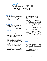

*Devotional for Day 16, Thursday, March 17 Rev. John Ensor, PassionLife*

#### **Intention:**

Pray for the mothers going into pregnancy help centers. The personal care, the free ultrasound, the ongoing practical help is designed to deliver them from those who profit in shedding innocent blood.

### **Scripture:**

Come to me, all who labor and are heavy laden, and I will give you rest.

*—Matthew 11:28*

#### **Reflection:**

"You have twins. That will be another \$350." She did not speak English. But she finally understood that they were telling her to go get more money and return for her abortion.

She had already given them her rent money. But they were not about to give her a two-for-one deal. They told her to get dressed and return with more cash.

A couple, who was praying outside, comforted her. They brought her to their local pregnancy help center.

The staff quickly saw that her personal circumstances were so desperate, and immediate, that they would need direct

and ongoing help from local Christians and churches. They started making calls.

Then they did the ultrasound. It showed there was only one baby, not two. This abandoned, immigrant, powerless mother was being exploited. She would do whatever she was told. Who would know? Who would care?

God calls us to "Rescue the weak and the needy; and deliver them from the hand of the wicked" (Psalm 82:4).

When you provide an alternative to abortion you are not only rescuing innocent babies, you are delivering mothers from the wicked: those who profit in the shedding of innocent blood. Pray for those who rescue and deliver daily at your local pregnancy help center.

#### **Prayer:**

Father, hear our prayer!

Snatch desperate mothers from thefire. Bring them out of our abortion businesses and into our pregnancy help centers. Deliver them from evil.

Use us to help them chose life and see your hand of provision.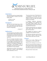

*Devotional for Day 17, Friday, March 18 Fr. Frank Pavone, National Director, Priests for Life*

### **Intention:**

May all understand more deeply thatthe pro-life message is rooted in two basic truths of life:

1) There is a God 2) He isn't me

And the Lord God formed man of the dust of the ground, and breathed into his nostrils the breath of life; and man became a living being.

—*Genesis 2:7*

### **Reflection:**

From the beginning of the Bible until the end, the theme is echoed that God alone has dominion over human life. He made it; shared it; died to save it; will raise it up forever.

The act of creation described in Genesis 2:7, and earlier in Genesis 1:26-27, is a sovereign act. God did not have to do it, and would have been happy for- ever without us. Yet without our askingfor it or earning it, God brought us out of nothingness and into life, and sus-tains our existence at every moment.

And He does so in Christ: "For by Him all things were created…in Him allthings exist" (Colossians 1:16-17).

"You are not your own," Paul declares in 1 Corinthians 6. God alone owns us. While He entrusts us to the care of one another, He does not allow any human being to own another.

A Southern California abortionist, **Scripture: Scripture: James McMahon, once explained how** he justified killing children after 20 weeks gestation by the process known as partial-birth abortion.

> He did not deny that this was a child, but rather asked, "Who owns the child?It's got to be the mother."

> The struggle over abortion is really a struggle over the dominion of God.

> The Christian individual, and the Christian Church, cannot sit idly by when others declare that God is not God.

#### **Prayer:**

Lord, we are yours. Thank you for breathing into us the breath of life.

Thank you for claiming us as your own.

May our words and actions in defense of human life proclaim to all the world that you alone are Lord of life and death, Lord of our freedom and of our choices.

We pray in Jesus' name, amen.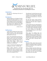

*Devotional for Day 18, Saturday, March 19 Randolph Sly, National Pro-Life Religious Council*

### **Intention:**

We pray for a flowering of the joy of parenthood.

#### **Scripture:**

Behold, children are a heritage from the Lord, the fruit of the womb is a re- ward. Like arrows in the hand of a war-rior, so are the children of one's youth. Happy is the man who has his quiver full of them; they shall not be ashamed, but shall speak with their enemies in the gate.

—*Psalm 127:3-5*

### **Reflection:**

I still vividly remember the day my first child was born. As she came into the world I gazed upon the most beautiful little baby I'd ever seen.

Later I was driving home from the hospital for a shower and a fresh change of clothes when a song came on the radio, "The Men in My Little Girl's Life"—a ballad about being a father as he watches his daughter grow through childhood to womanhood.

I wept as I listened, knowing the years would go by very fast—and they did.

Being a father, whenever I read the Psalm quoted above I'm always captivated by one word: "heritage." It basically means "something passed down from a preceding generation."

That little girl I watched being born and wept for is not mine to give to God like a product of our fertility, but ratherHis, which he has entrusted to us. So are all her siblings.

My wife and I share a great treasure: precious lives, which are placed in our lineage that His life with us might be perpetuated.

To the psalmist, this was a blessing from the Lawgiver, God Himself, who blessed Israel with another generation intended to continue their covenantal promise. For us in Christ, it is his gift of succeeding generations for His Church and her families.

These days I'm looking upon my grandchildren, and rejoicing that my children and their spouses will pass on the greatness of Christ's gospel to them and thus will continue the work of God in the world. What a blessing. What a heritage!

#### **Prayer:**

Heavenly Father, please keep me from taking for granted the gift of children. Help us to remember this heritage that you have given us.

Make us faithful stewards of these precious lives, that each generation might be raised in the nurture and admonition of the Lord. We ask this through Jesus Christ our Lord, amen.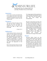

*Devotional for Day 19, Sunday, March 20 Jim Daly, President, Focus on the Family*

#### **Intention:**

In the effort to protect and defend life, let us appeal not only to the special revelation of Scripture, but also to the general revelation of science and the created order.

#### **Scripture:**

The heavens declare the glory of God, and the sky above proclaims his handiwork. Day to day pours out speech, and night to night reveals knowledge.

*— Psalm 19:1-2*

#### **Reflection:**

In the mission to foster a more pro-life culture, we often appeal to the Imago Dei—the very image of God that is divinely imprinted on every human life. We embrace theological truths and scriptural fundamentals to proclaim that every human being is sacred and worthy of protection—because each one bears the fingerprints of God Himself.

But we don't just have God on our side. Science proclaims these truths as well!

For a large segment of the population in a post-Christian world, phrases such as "the image of God" and "the sanctity of life" may seem foreign and indecipherable.

But just as the heavens, by their very existence, proclaim the glory of God, so, too, does the flickering image of a precious preborn baby on a sonogram screen. Ultrasound technology offers a unique window into something sacred. Seeing the fingers and toes, hearing the tiny heartbeat—these powerful moments speak to the beauty and humanity of life in the womb in a language that everyone can understand. The image of God, indeed.

#### **Prayer:**

Heavenly Father, thank you that creation itself proclaims your existence and points to your truth. With the explicit testimony of your Word as our foundation, may we also help those around us understand that the sciences of conception and gestation reveal profound and immutable truths about You and about what it means to be created in Your image.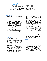

*Devotional for Day 20, Monday, March 21 Rev. Ben Sheldon, President Emeritus, Presbyterians Pro-life*

#### **Intention:**

That we may realize the generational impact of abortion.

### **Scripture:**

Isaac prayed to the Lord for his wife because she was barren; and the Lord granted his prayer and Rebekah his wife conceived. The children struggled together within her, and she said, "If it is thus, why do I live?" So she went to inquire of the Lord.

And the Lord said to her, "Two nations are in your womb, and two peoples, born of you, shall be divided; the one shall be stronger than the other, the elder shall serve the younger."

*— Genesis 25:21-23*

#### **Reflection:**

What an answer to prayer!

Who dares to say that the unborn are not human, with distinct personality and character right from the moment of conception?

This account emphasizes the vitality and uniqueness of the twins who, because of Isaac's prayer for his wife, were conceived in Rebekah's womb.

When Rebekah was told by the Lordthat the older would serve the younger

twin, God already knew that Jacob and Esau would lead turbulent and conflicted lives.

God knows us and knows all about us, including our personality and disposition long before we are actually born, indeed, from the moment we are conceived in our mother's womb.

What a tragedy of gargantuan proportions that babies, planned and endowed by the Creator, with distinct and unique personalities and with, perhaps, a future and destiny intended for greatness, have their lives snuffed out by cruel abortionists before they ever see the light of day! May our prayers that the dreadful scourge of abortion in our land may vanish be as fervent as Isaac's were for Rebekah.

#### **Prayer:**

O, God, you formed us in our mother's womb and planned a unique and special life and purpose for each of us, and we do thank you. Grant that we may pray and work for an end to abortion, especially in these 40 days, so that no unborn baby you have made may fail to achieve your divine intention for him or her because of intentional abortion. We pray this for the sake of your Son, our Lord Jesus Christ. Amen.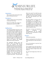

*Devotional for Day 21, Tuesday, March 22 Fr. Paul Felix, Chaplain, 40 Days for Life*

#### **Intention:**

May we rely on the Lord to grant us the grace of final perseverance.

#### **Scripture:**

I believe I shall see the Lord's goodness in the land of the living.

Wait for the LORD, take courage; be stouthearted, wait for the LORD!

*— Psalm 27:13-14*

### **Reflection:**

The inspired Psalmist expresses to the Lord something that weighs heavy in the hearts of most people who take seriously the effort to live a righteous life in the service of God and neighbor. In so doing, we are reminded that we are not alone in our plight. We know objectively, and we feel deeply that the Lord has called us to stand up and oppose the injustice and struggle against the atrocity of abortion.

Our opponents ridicule, sneer and mock us. This is not unlike the way Jesus was ridiculed and mocked throughout the three years of his public ministry and most intensely during his Passion and death on the Cross. This has always been the case for those sincerely dedicated to serving in the prophetic role out of love for God and neighbor. Our Lord exhorted His disciples to "turn the other cheek" and to "go the extra mile". "You have heard

that it was said, 'You shall love your neighbor and hate your enemy' But I say to you, love your enemies, and pray for those who persecute you." (See Matt 5: 38,ff.)

We don't impose on God our list of prerequisites to be fulfilled as a precondition for our obedience. We are not engaged in our effort for the recognition or praise of our fellow man. "We walk by faith, not by sight." We are doing this because we believe in God and are obedient to Him.

Of course, we have our moments of fatigue, weariness, and discouragements. But the Psalmist provides us the exhortation to Faith, Hope and Love.

#### **Prayer:**

Good and loving Father,

Keep us stouthearted in Your Word of Truth, placing all our faith and Hope in You.

Give us the patience to wait for Your providential care.

As we repent of our own sins, give us the courage to speak the truth in love and to be ready to forgive those who offend us.

We ask this through Jesus Christ our Lord

Amen.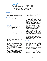

*Devotional for Day 22, Wednesday, March 23 Georgette Forney, Anglicans for Life*

### **Intention:**

May those who hold life as trivial realize that we live because God wills it so.

### **Scripture:**

Who among all these does not knowthat the hand of the Lord has done this, in His hand is the life of every creature and the breath of all mankind.

*— Job 12:9-10*

### **Reflection:**

Job was a man acquainted with grief, trials and tribulation. He had everything taken from him, including his family. He endured sickness, ridicule and judgment from his friends.

Everyone gave him advice about his situation, questioning his spirituality and his God. Job's circumstances were bad but he never loses faith. Why? Because "the hand of the Lord has made all life." Created by God, he knows his life has meaning and purpose, regard- less of the circumstances.

In our present culture, we've lost that basic truth; every life is made and allowed to live by God's sovereign authority. As people who pride ourselves on our independence, we have a hard time acknowledging our dependence on God.

From our creation, when we were knit together in our mother's womb to our last breath, God's word is clear that "in

His hand is the life of every creature and the breath of all mankind."

It's time for us as individuals, and as a society, to recognize that we exist by God's grace and turn back to Him, honoring His word and His teachings. Why? Because our world is full of Jobs, people who are dealing with trials and tribulations and hurting desperately.

Job's response should be ours as well. Regardless of what we face (even an unplanned pregnancy) God in His wisdom and mercy will redeem it.

How do I know? Job's friends who doubted God's sovereignty cry out to God asking for help, God instructs Job to pray for his friends and after he does, God restores all that Job had lost.

In other words, because Job never lost faith and knew and trusted His Creator, the Lord blessed Job.

#### **Prayer:**

Thank you Father God for being the Creator of my life and every life. Please give me, and the society in which I live, an appreciation for your gift of life.

Please help us set aside our pride and acknowledge that we need you.

Show me how I can honor you today in response to all the blessings you bestow freely. In the name of Jesus, amen.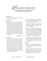

*Devotional for Day 23, Thursday, March 24 Dennis DiMauro, Lutherans for Life*

#### **Intention:**

We pray for the strength to love those who do not love us.

#### **Scripture:**

But the Lord said "You have had pity on the plant for which you have not labored, nor made it grow, which came up in the night and perished in the night. And should I not pity Nineveh,that great city, in which are more than one hundred and twenty thousand per-sons who cannot discern between theirright hand and their left, and much livestock? Should I not be concerned about that great city?"

—*Jonah 4:10-11*

### **Reflection:**

God doesn't value people and things like we do. Jonah loved a shade tree more than an entire city of sinful people. We love our dogs more than a terrorist. We love our cars more than a beggar on the side of the road. And sometimes, we love our money more than a child growing in a desperate teenager's womb. But God isn't like us. Genesis 1 tells us that humans were the capstone of God's creation.

We were created on the sixth day after God had completed the land, the stars, the plants and the animals.

Therefore, His love for us is greater than His love for a plant, an animal, or any other created thing.

And the book of Jonah tells us that He loves even the most sinful people and seeks to bring them into His merciful arms. And it's a love that seeks to touch all of his created children: that desperate teenager, the baby growing in her womb, even tyrants and terrorists.

So it's up to us to imitate God's merciful love by helping and praying for those who persecute us, and those who don't love us back.

#### **Prayer:**

Gracious God, loving our enemies seems like one of most difficult things you could ask of us.

Please remind us that this is how you love and that if you ask it of us then you will give us the grace to do it. This we ask through Christ our Lord. Amen.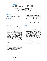

*Devotional for Day 24, Friday, March 25 Most Rev. Alexander K. Sample Roman Catholic Archbishop of Portland* 

#### **Intention:**

For All Women Who Are Pregnant

#### **Scripture:**

I have come that they might have life and have it more abundantly.

*— John 10:10*

#### **Reflection:**

Jesus desires fullness of life for each one of us. He came that we might have life and have it more abundantly. But when life is filled with trials and crosses, we can begin to see it more as a burden than a blessing. Our hearts go out to all those who are feeling the heavy burdens of life. We are especially mindful of those women who find themselves distressed by a pregnancy they did not expect. May our Lord Jesus come alongside them and help them understand that even during trials, life is a blessing.

While many women rejoice to learn they are pregnant, others are crushed by the news. In every case, we want to lift these women up to the Lord. He alone understands the workings of the heart and the unique circumstances surrounding each pregnancy.

Children are a beautiful gift from God. They bring life and light and joy into the world. God himself chose to come into the world as a child, and he did so by way of a mother who said "yes" to God and "yes" to life. May all mothers find their strength, courage, and joy in the Lord.

#### **Prayer:**

Heavenly Father, You are the author of life and all that is good. Thank You for the gift of Your Son, Jesus, and the promise of eternal life in Him. We humbly ask You to bless and protect all women carrying new life in their wombs. Fill them with a motherly love beyond measure. Be close to those facing an unexpected pregnancy. Give them strength and courage to overcome every trial. Give all mothers grace and tenderness to embrace their children as precious gifts. Through Your Holy Spirit, grant us all fullness of life in you. We make this prayer in the name of Your beloved Son, Jesus. Amen.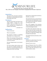

*Devotional for Day 25, Saturday, March 26 Rev. J. Kirk van der Swaagh, Conservative Congregational Christian Conference*

### **Intention:**

We pray for the conversion of all those who refuse to acknowledge that human life belongs only to God.

#### **Scripture:**

Then the word of the Lord came to me, saying: "Before I formed you in the womb I knew you; Before you were born I sanctified you; I ordained you a prophet to the nations."

*— Jeremiah 1:4-5*

## **Reflection:**

To be or not to be?

There is no question!

The question of "being" is something philosophers have long pondered.

What is the meaning of being and what is the source? In the passage before us, we have our answer.

We have being because we are known by God.

For God to declare that he knows and sets apart the prophet Jeremiah even before he is conceived indicates that our being rests in God's own being.

Because He is and because He wills we, therefore, are and do.

The Apostle Paul says as much when he declares before the philosophers of his day,"In Him we live and move and have our being" (Acts 17:28).

One of the tragedies of the abortion culture is that life in the womb has been so heartbreakingly devalued.

To embrace the arguments of the "prochoice" crowd one must conclude that the child in the womb doesn't exist, isn't there, has no being. But nothing could be further from the truth.

That child is known by God and, as such, has being.

#### **Prayer:**

Lord God, we confess that in You we live and move and have our being.

Because You are, we are.

May we find grace from You to affirm the being of every human and may we labor to make this truth known to the world around us. Amen.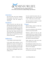

*Devotional for Day 26, Sunday, March 27 Vera Faith Lord, Director, Alpha/Omega Life Ministry*

#### **Intention:**

their purpose may discover it in God and therefore have the courage to choose life.

#### **Scripture:**

These all wait for you, that you may give them their food in due season, what you give them they gather in; you open your hand they are filled with good. You hide your face, they are troubled; you take away their breath, they die and return to their dust. You send forth your Spirit, they are created;and you renew the face of the earth.

— *Psalm 104:27-30*

### **Reflection:**

"I am a feather on the breath of God."

As the quote above portrays, we are more today than yesterday. upheld by the power and purpose of God. Our very existence on earth, from our body's first breath to its last, when we leave it to return home, is our Father's choice and happens only by His willing to do so.

Pray that those who have forgotten **He who created the universe also cre**ated that which is "me." I do not "have" a soul – I AM a soul, as well as a body.

> My entire purpose in this life is to find my way back to my Creator.

#### **Prayer:**

Beloved Father, remind us today that there is no truth but you.

Do not let us fall prey to the evil one's lie that we may choose death.

Remind us right now that you, who created all life, are in control of all life, and let us know right now that you who created all life, are in control of all life, and let us choose life always.

Father, please let us hear your voice

Keep lighting the pathway home, for us and for all who participate in this 40 Days for Life campaign.

Father, we're on our way. Through Jesus Christ our Lord, amen.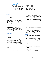

*Devotional for Day 27, Monday, March 28 Ernest Ohlhoff, Outreach Director, National Right to Life*

#### **Intention:**

We pray for humility in our work for God's Kingdom.

#### **Scripture:**

Let this mind be in you which was also in Christ Jesus, who being in the form of God did not consider it robbery to be equal with God, but made Himself of no reputation, taking the form of a bondservant, and coming in the likeness of men. And being found in appearance as a man, He humbled himself and became obedient to the point of death, even the death of the cross.

*— Philippians 2:5-8*

#### **Reflection:**

There is no limit to what we can accomplish when we don't care who gets the credit.

Jesus Christ's life on earth exemplifies a total submission to the will of the Father. His humility, compassion, gentleness and thoughtfulness are reflected over and over again in the New Testament. He was God incarnate, yet He chose to be born to a humble, working class home.

How absurd it must have seemed to the rich and powerful that the Son of God,

the Messiah, the one foretold by the prophets, the 'King of the Jews' was born and raised as a simple peasant.

During His thirty-three years on earth, He sought no riches, claimed no secular power and gathered no possessions.

His short time on earth changed more lives, softened more hearts, and gave hope to more people, than all the rich and powerful human 'kings' combined.

And, at the end of His life on earth, by dying on the cross, He opened the door to eternal life for those who heed his words and follow in his footsteps.

#### **Prayer:**

O Lord, help us follow in the footsteps of Jesus.

Let us humbly and diligently work to restore legal protection for the unborn, the disabled, the medically dependent and all innocent children of God whose lives are threatened.

Let us remember the old adage that"He can never lead who has not firstlearned to obey."

And, Lord, grant us a peaceful heart as we labor in your name. Amen.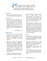

*Devotional for Day 28, Tuesday, March 29 Ramona Trevino, Former Planned Parenthood* 

#### **Intention:**

May we persevere until the end as we draw our strength from our Lord, Jesus.

#### **Scripture:**

Blessed be the God and Father of our Lord Jesus Christ, the Father of compassion and of all encouragement, who encourages us in our every affliction so that we may be able to encourage those who are in an affliction with the encouragement with which we ourselves are encouraged by God.

*— 2 Corinthians 1:3-4*

#### **Reflection:**

All one must do is make a quick observation on the internet, social media, our neighborhood, or even within our own families to discover there is no shortage of pain and suffering.

Our world is filled with all types of afflictions; from illness to addictions, divisions and violence, hopelessness and despair. But God gives us a great opportunity, doesn't He? To be the light in the darkest of places. God is our refuge and our salvation. He encourages us at every turn. How sad and lonely it must be for those who don't know Him.

Nowhere is this sadness, despair, and Amen. loneliness more evident than inside

and outside abortion centers. If there is ever a place where God's encouragement is most needed it is there. Society's most afflicted souls enter and exit like empty vessels as we pray for an end to abortion outside these places of human sacrifice.

But God does not want us to be discouraged. No! We must pick up our own Cross and carry it with great courage. It is by carrying our own afflictions to these places of death that God gives us the greatest strength to bring encouragement to the afflicted, to be the light in the darkness, to be the prayer that is answered, and to be the hope to the desperate.

#### **Prayer:**

Heavenly Father, we thank you for your love, mercy, and goodness. We praise you for the gift of life and the conviction to defend it at all stages.

Father, give us the grace to walk alongside of and pray for those poor souls who are so greatly afflicted in their souls. Help us to be compassionate, but bold and courageous, as we defend what is true and just.

As the division in our world increases, let us be the unitive light that draws souls to your goodness, love and mercy.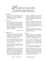

*Devotional for Day 29, Wednesday, March 30 Carmen Pate, former 40 Days for Life board member*

### **Intention:**

Praise God for His compassion in pardoning our sins and forgiving our transgressions. Give praise that He delights in showing mercy.

#### **Scripture:**

Who is a God like You, pardoning iniquity and passing over the transgressions of the remnant of His heritage? He does not retain His anger forever, because He delights in mercy. He will again have compassion on us; and will subdue our iniquities.

—*Micah 7:18-19*

### **Reflection:**

Micah had been sent to declare God's judgment and call the people of Judah to repentance. The people had become spiritually and ethically corrupt.

Prosperity had hardened the rich, the poor were oppressed and the heirs to David's throne were practicing abominations and idolatry.

Is it not easy to see the parallels of God's people in Micah's day and God's people today in America?

Through Micah, God corrected His people by demanding justice, not burnt offerings and sacrifice. He told them to love mercy, and to walk humbly with their God. In speaking of the Old Testament stories of God's people turning from God to sin and idolatry, Paul

wrote in 1 Corinthians 10:11, "Now all these things happened to them as examples, and they were written for our admonition, upon whom the ends ofthe ages have come."

Many biblical scholars believe God has removed His hedge of protection around our nation in response to our sins of immorality and abortion. Let us cry out in repentance for His mercy once again.

And may we honor His faithfulness by doing justly, loving mercy, and walking humbly with our God.

#### **Prayer:**

Heavenly Father, eternal, changeless, and faithful Lord, we recognize that we are in need of forgiveness as a nation, for turning our hearts away from you.

Hear our prayer of repentance Lord and cleanse us from all unrighteousness. We praise you for your tender mercies and your compassion that never fails.

Lord, it is only by Your grace that we can live lives that are just, and merciful.

May Your Holy Spirit enable us to walk humbly in Your presence and may You be pleased to restore America so that a generation not yet born may praise you. In the name of Christ Jesus, who has done great things for us, amen.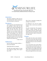

*Devotional for Day 30, Thursday, March 31 Fr. Frank Pavone, National Director, Priests for Life*

### **Intention:**

That those tempted to abort may understand that their child is already present, and already a real person.

### **Scripture:**

And it happened, when Elizabeth heard the greeting of Mary that the babe leaped in her womb; and Elizabeth was filled with the Holy Spirit. Then she spoke out with a loud voice and said, "Blessed are you among women, and blessed is the fruit of your womb! But why is this granted to me, that the mother of my Lord should come to me? For indeed, as soon as the voice of your greeting sounded in my ears, the babe leaped in my womb for joy.

*—Luke 1:41-44*

### **Reflection:**

Jesus not only loves unborn children — He was one himself!

Think about this for a moment.

We often hear people speak of a pregnant mother by saying, "She's expecting a child."

Now if one is expecting a package, the package is not yet there.

As reflected in our verse for today, however, this is not the case with the mother.

Her gift is already there. The pregnant woman, a mother already, does not have a child "on the way," but has achild, already present and in full pos- session of his or her human rights, starting with the right to life.

#### **Prayer:**

Jesus, open my eyes to your presence in the life of every child. Open my heart to joy in the birth of every child, a birth that reflects the joy of your own birth in Bethlehem.

As you shared life in the womb of Mary, so now send your protection upon every child still in the womb, and grant to their mothers the strength and joy that comes from welcoming the gift of life. We pray through Christ our Lord. Amen.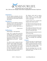

*Devotional for Day 31, Friday, April 1 Rev. J. Kirk van der Swaagh, Conservative Congregational Christian Conference*

#### **Intention:**

For the medical community, that the truth they know about the human body may become awe and wonder at theGod who made it.

#### **Scripture:**

Your eyes saw my substance, being yet unformed. And in Your book they all were written, the days fashioned for me, when as yet there were none of them.

*—Psalm 139:16*

#### **Reflection:**

Human beings -- God's tapestries.

Psalm 139 is a psalm that reveals the enormity and otherness of God. His divine attributes are on display: omniscience (2-4), omnipresence (7-12), loving-kindness (17-18), justice (19-20), righteousness (23-24), and tence. omnipo-

Yet, when it came to express this last attribute, what example did the psalmist use – God's creation of mountains, seas, or far-flung galaxies? No, he used none of these. To express the wonder of God's unparalleled creative power the writer mentions the fashioning of the human in the womb (14-16).

The Hebrew word used to express God's forming of us in the womb, *raqam*, is the same term for needlework or embroidery.

In other words, we are a tapestry that displays God's artistic mastery.

And, like the artist who knows his creation down to the last detail, God intimately knows us.

This reality provokes the writer to awe and wonder. He proclaims, "I am fearfully and wonderfully made."

What is true for this psalmist is true for each human being.

Each is fashioned by God and known by him and we can proclaim on behalf of each, "I am fearfully and wonderfully made."

#### **Prayer:**

Gracious God, help us to appreciate the wonder and beauty of Your creation. Help us proclaim on behalf of every one of our fellow human beings, "I am fearfully and wonderfully made."

May the knowledge that we are intimately known by You shape our lives and actions. Amen.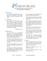

*Devotional for Day 32, Saturday, April 2 Rev. John Ensor, Passion Life*

#### **Intention:**

As we pray for the end of abortion, let us pray for the expansion of the pregnancy help center movement worldwide.

#### **Scripture:**

The dragon stood before the woman who was about to give birth, so that when she bore her child he might devour it. She gave birth to a male child, one who is to rule all the nations with a rod of iron, but her child was caught up to God and to his throne.

*— Revelation 12:4-5*

### **Reflection:**

You don't need to be a theological scholar to get the essential point of Revelation 12. Something BIG is afoot. It has something to do with the birth of Christ and the children of God.

It involves a war in heaven, with powers and principalities beyond our expertise. But the battles are fought here on earth.

The crux of the matter centers around the babe of Bethlehem and the cross of Calvary.

It continues to unfold down through the ages, through us, the children of God, who put their faith in Christ and take up their cross and follow him.

We are waging a war of love against all things that destroy body and soul.

The intensity waxes and wanes, but like labor pains, they grow and culmi- nate in new life.

The unleashing of legal abortion nearly 40 years ago stirred up prayer (lamentation really). Many were then led to start pregnancy help centers and maternity homes.

Today there are over 3,000 such ministries that did not exist 40 years ago.

They reflect a movement of God on our watch: Christians driven to give their time and charity to end abortion one woman at a time.

Let's pray this movement expands worldwide. Let's pray for thousands more Christians to start, serve and support pregnancy help centers.

#### **Prayer:**

O God, from generation to generation, you have called your people to be the very aroma of life amidst a culture of death. Now it is our turn.

Prepare me. Send me. Use me. I am eager to do my part.

Stir your people every where to take up this great work.

*©2022 — 40 Days for Life [www.40daysforlife.com](http://www.40daysforlife.com/)*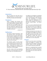

*Devotional for Day 33, Sunday, April 3 Fr. Terry Gensemer, National Director, Charismatic Episcopal Church for Life*

#### **Intention:**

May we absorb the truth that God is paying attention to us, and to each human life, personally and individually.

#### **Scripture:**

When I consider Your heavens, the work of Your fingers, the moon and the stars, which You have ordained, what is man that You are mindful of him, and the son of man that You visit him? For You have made him a little lower than the angels, and You have crowned him with glory and honor.

*— Psalm 8:3-9*

### **Reflection:**

How often we ignore the phrase, "stop and smell the roses" and instead submit to the all too "urgent" task at hand. Is this tendency what keeps us, at least in part, from acknowledging that God's care for His sacred creation is paramount in His own mind?

The Psalmist speaks of God's handiwork: the heavens, the work of his "fingers," and then points to God's masterpiece – human life. He declares to us that God is mindful of us. God keeps His masterpiece in His thoughts.

God, the creator of the awe-inspiring heavens, is not distracted by the tasks before Him. He is not pulled away, as

we might be, by thoughts of something "more important." God is paying attention to and attending to His crowning glory, His masterpiece of creation, which cannot be duplicated or replaced, which surpasses the beauty of all other created things – the human being.

There is no way to adequately describe how God feels about us as human beings. There are no words to fully portray His love, compassion or desire to be in communion with us.

Perhaps, the closest we can come, is to contemplate the thoughts of a mother as she gazes for the first time at her newborn child. God cares for Life. We, as His followers, should take time to consider the life He has created and called upon us to love and protect.

#### **Prayer:**

Lord, you are the creator of all things. Guide my thoughts to consider your creation in all of its majesty, beauty and holiness. Guide my heart especially to your creation of precious human life.

Help me to comprehend how essential life is in your own heart. Teach me to appreciate, love and protect all human life through your son, Jesus Christ our Lord. Amen.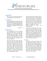

*Devotional for Day 34, Monday, April 4 Rev. Paul Stallsworth, President, Lifewatch (United Methodist Church)*

#### **Intention:**

May we come to know that divine life, in relationship, creates human life.

#### **Scripture:**

In the beginning was the Word, and the Word was with God, and the Word was God. He was in the beginning with God. All things were made through Him, and without Him nothing was made that was made.

*—John 1:1-3*

### **Reflection:**

"In the beginning" was God. Always, before all times, there was God. This particular God -- the God of the Bible, the God of St. John's Gospel -- is different from all other gods. This God is alive and full of life. This God is not the picture of deadness and death, aloneness and isolation.

This God is the picture of life, relationship, and unity. For within this God, within this one God, there are three divine persons who live, who love, and who work -- together. This is the glorious mystery of the Trinity. The Trinity means divine life. The Trinity means three, living Persons -- Father, Son, and Holy Spirit -- who relate to each other. The Trinity means mutual love and service among three Persons.

The Word was always with God the Father. This Word was, is, and will be the Trinity's second person. The Word is also the Son of God or, as revealed in time, Jesus Christ. God the Father and God the Son live, love, and work for each other. As one, they create "all things" together: the Father creates all things, including all human life, through the Son.

So the Father, through the Son, creates all human lives. The little one swimming in his mother's womb, the infant smiling in his father's arms, the child crying in pain in a hospital bed, the energetic teen running another mile, the old man gasping for his last breath -- all were created, at their beginning, by the Father through the Son. No exceptions. Divine life creates human life.

#### **Prayer:**

O God, may we always be quick to call you Father. And when we call you father, let your Spirit remind us that we, and all people, from their beginning to their last day, are your children. We praise you, Father, that you sent your Son to reveal to the world that all people are His brothers and sisters, that all people are your children. Through Jesus Christ we pray. Amen.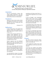

*Devotional for Day 35, Tuesday, April 5 Carmen Pate, former 40 Days for Life board member*

### **Intention:**

Pray for post-abortive women who cannot forgive themselves; may they understand that there is no condemnation for those who are in Christ Jesus.

#### **Scripture:**

Blessed are those whose lawless deeds are forgiven, and whose sin is covered. Blessed is the one to whom the Lord shall not impute sin.

*— Romans 4:7-8*

### **Reflection:**

In the passage above, the Apostle Paul making a point about justification by faith, refers back to David's words in Psalm 32:1-2.

In spite of the enormity of David's sin adultery with Bathsheba and his murder of her husband—and the utter absence of any personal merit, David in his brokenness, understood the imputed righteousness of God.

David's response was not continued guilt over his sins, but praise for his freedom from guilt, and God's power to live life differently.

Once your relationship with God has been restored, your guilt has served its purpose and should no longer be given place in your life. This is true regardless of the particular sin, including the sin of abortion.

As a post-abortive woman, I too struggled with this issue until I realized that

punishing and hating myself after receiving God's forgiveness was an insult to God.

It was as though I were minimizing Christ's work on the cross as insufficient to cover my sin. I was denyingHim the opportunity to bring glory to His name for the healing and restora- tion He wanted to do in my life.

I was giving victory to the enemy who having lost the battle for my soul, was bent on destroying my testimony as I accepted the continual guilt he heaped on my mind.

It is my joy to continually sing of God's grace rather than give the devil a foothold in my life. Don't waste God's mercy! Accept His forgiveness and forgive yourself as testimony of His amazing grace.

#### **Prayer:**

Our Most Gracious Heavenly Father, thank you for your amazing grace that saved a wretch like me.

I come against the enemy of my soul who would have me feel cast down and dejected.

Lord, keep your children from falling prey to the accusations of the father of lies. Turn our mourning into dancing and may we bring praise to you as we give testimony of Your healing and restoration in our lives. For by His grace we are saved, amen.

*©2022 — 40 Days for Life [www.40daysforlife.com](http://www.40daysforlife.com/)*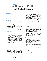

*Devotional for Day 36, Wednesday, April 6 Fr. Shenan J. Boquet, President, Human Life* 

#### **Intention:**

May we never hesitate in our response to Jesus' invitation but take the extra step of faith: "Master…but at your command, I will…"

#### **Scripture:**

Jesus said to Simon, 'Put out into deep water and lower your nets for a catch." Simon said in reply, "Master, we have worked hard all night and have caught nothing, but at your command I will lower the nets.

*— Luke 5:4-5*

### **Reflection:**

Often in our service of the Gospel of Life, having "worked hard all night long," we too may feel unsuccessful in our efforts, thinking we have "caught nothing." And from a temporal point of view, Peter's initial objection against Jesus' command seemed realistic. The night hours were the normal time for fishing, which on this occasion had yielded nothing. What was the point of fishing by day?

Peter and his companions are exhausted from the night's work and know there are no fish to be caught during the day. We too, on occasion, hesitate to do what Jesus asks of us. thinking the task is unreasonable, the cross too heavy, and the sacrifice too great.

What makes Peter's companions dismiss from their minds these considerations and gather their nets to lower them once again? It is Peter's trust and faith in Jesus! Peter's shift from an act of complaint to one of obedience inspires his companions to "put out into deep water and lower [their] nets for a catch."

We stand against the culture of death, a mighty foe, bombarded from every direction, and we know that the battle for Life will not be overcome by merely natural works. However, our trust isnot in ourselves but in Jesus, the one who asks to "put out into deep water."

Guided purely by faith, we know that whatever the task we undertake will bear fruit in abundance.

#### **Prayer:**

Father and Creator of human life, help us never to become discouraged in defending the full breadth of that most precious gift.

Inspire us to remember that without You, we are powerless, and that what we do for the least, especially the helpless unborn, we are doing for Your Son, who lives and works in and through us.

Give us strength to persevere in Your will. Amen.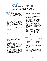

*Devotional for Day 37, Thursday, April 7 Carmen Pate, former 40 Days for Life board member*

#### **Intention:**

Pray that we will each submit ourselves this day as a living sacrifice to God, giving all that we have in us for those being sacrificed on the altar of convenience.

### **Scripture:**

I beseech you therefore brethren, by the mercies of God, that you presentyour bodies a living sacrifice, holy, acceptable to God, which is your reasonable service.

*— Romans 12:1*

## **Reflection:**

Since all things are for His glory, we are to offer ourselves for that purpose.

This of course is in sharp contrast to those who are being swayed by the enemy to sacrifice their babies on the altar of convenience, rather than choosing to surrender their all, including their unborn child, to the Lord for His purposes.

A career, education goals, or even a boyfriend can unknowingly become an idol for some young women. In their minds, abortion is a convenient way to "rid themselves" of an obstacle in the way of their "worship."

In light of the sacrifice Christ made on our behalf, and the fruit of God's mercies on our lives, we owe God our highest form of praise and worship.

Presenting our bodies as living sacrifices is therefore reasonable service.

We were made to worship God and to worship God alone.

The enemy who seeks worship for himself distorts God's truth regarding worship, sacrifice, idols, and children.

As you have given of yourself to rescue those who are perishing—the young woman as well as her child—you are worshiping God in the truest sense of the word.

May your prayerful example lead an abortion minded client to turn away from her idols to worship the one true God, sparing her child from the altar of convenience, and sparing herself from a lifetime of regret.

#### **Prayer:**

God Almighty, You alone are worthy of our praise and worship.

Having accepted Your Son's sacrifice on my behalf, I in turn present my body to you as a living sacrifice.

Thank you for deeming me holy and acceptable because of Christ's shed blood for me.

I pray that you would use me as your vessel to rescue others who are perishing. Through Christ who is Our Glory, amen.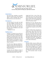

*Devotional for Day 38, Friday, April 8 Carmen Pate, former 40 Days for Life board member*

#### **Intention:**

Pray that those standing in peaceful vigil will extend mercy and grace to others as they remember that Christ did not treat us as our sins deserve.

#### **Scripture:**

You have heard it was said, 'you shall love your neighbor, and hate your enemy.' But I say to you, love your enemies, bless those who curse you, do good to those who hate you, and pray for those who spitefully use you and persecute you.

*— Matthew 5: 43-44*

#### **Reflection:**

Perhaps it is obvious by now that not everyone thinks this campaign is agreat idea! In fact, those on the front lines standing in peaceful vigil are per- haps being cursed and hated for what God has called you to do. Because we are all fallen creatures, our natural re- sponse may not be as Christ-like as we would hope it would be.

So, how do we keep our natural response in check, while allowing the Holy Spirit to empower us to love, bless, do good, and pray for those who hate us or would do us harm?

Consider first the Holiness of God. It seems that sin has clouded our ability to think clearly about God's nature. We

simply don't have a clue of how outraged God is by our sin, what an insult sin is to His person, or how sin fires the flames of His wrath. Praise God that He didn't leave us in our depravity destined for His divine wrath!

Ephesians 2:4-5 says, "But God, who is rich in mercy, because of His great love with which He loved us, even when we were dead in sin, made us alive together with Christ; by grace you have been saved."

Because of God's mercy and grace towards us, we who receive Him receive eternal Hope. Those who curse you, hate you, spitefully mistreat you and persecute you need that same Hope. That is the only way we can ever expect them to behave differently. Ask the Holy Spirit to love them -- through you - - so they are drawn to the Hope that is in you, that is Christ Jesus.

#### **Prayer:**

Heavenly Father, may we reflect your character of grace and kindness tothose who hate us and curse us. Guard our hearts and our tongues as we re- spond in love to words and actions meant to rile us or cause us harm. Let others see the Hope that is Christ in all we say and do. In His precious name we pray, amen.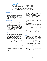

*Devotional for Day 39, Saturday, April 9 Carmen Pate, former 40 Days for Life board member*

#### **Intention:**

Pray that volunteers will replace exhaustion or discouragement with rejoicing over the miracles we have seen thus far, and enthusiastic service as God takes us on to victory!

### **Scripture:**

In this you greatly rejoice, though now for a little while, if need be, you have been grieved by various trials, that the genuineness of your faith, being much more precious than gold that perishes, though it is tested by fire, may be found to praise, honor, and glory at the revelation of Jesus Christ.

*— 1 Peter 1:6-7*

### **Reflection:**

We have reason to rejoice when we consider the many babies whose lives have been saved during the 40 Days for Life campaign. Add to those lives, the women and men who have been spared from a devastating decision and now have opportunity to make a plan for their baby that is both life affirming and God honoring.

Whether directly, or indirectly, youhave contributed to these testimonies of praise with your sacrificial service.

Perhaps you have been grieved by various trials during your commitment to 40 days.

The attacks of the enemy come in many forms -- difficulties in relationships, finances, health. Or maybe you are physically and mentally exhausted and have been marking off the days on your calendar, eagerly waiting for Day 40.

Consider these trials in light of God's plan for you.

The Apostle Paul understood the big picture when he said in Romans 8:18, "For I consider that the sufferings ofthis present time are not worthy to be compared with the glory which shall be revealed in us."

This is our Hope and our victory. Let us rejoice in the opportunity to give that Hope to others in our path.

#### **Prayer:**

Dear Heavenly Father, we sing to You a new song, for You have done marvelous things. Forgive us when we allow circumstances to defeat us. You give power to the faint and You increase strength in those who have no might.

We rest in You dear Lord, and ask You to empower us again for Your serviceas You work out Your plan for us and through us.

May You receive glory through our victory in Christ, in whose name we pray, amen.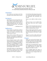

*Devotional for Day 40, Sunday, April 10 Fr. Frank Pavone, National Director, Priests for Life*

### **Intention:**

Let us keep our eyes fixed on the New Jerusalem, where death will be no more.

### **Scripture:**

He will wipe every tear from their eyes. There will be no more death or mourning or crying or pain, for the old order of things has passed away." He who was seated on the throne said, "I am making everything new!"

*— Revelation 21:4-5*

### **Reflection:**

Every activity we undertake in defense of the sanctity of life is *prophetic,* inasmuch as it points to the day when "death will be no more."

Every victory we have when an act of abortion is prevented is prophetic of that day when death itself will be definitively conquered.

Every triumph of grace in this world, whereby someone is brought to see the value of life and given the strength to welcome it, is a breaking into our history of that definitive future in which the old order of things will have passed, and all things will be made new.

As pro-life warriors, we must keep our eyes fixed on heaven, and our hearts secure in the hope that the day is coming when all evil will be conquered.

It is the future that shapes the present; it is victory that informs the battle; it is the destination that determines the journey.

Daily, we are called to reflect on heaven.

When we weep, we are to think of the day when every tear will be wiped away.

When we face the destructive power of death, we are to think of the day when death is swallowed up in victory.

When we labor against abortion, we are to think of the day when we will have the rest and peace of the final tri- umph of life.

Heaven is as real as earth, and its joys will be as real as our present sorrows.

#### **Prayer:**

Father, you are the God of hope. Your word fills us with the vision of the world to come, when every tear will be wiped away, and death will be no more.

Father, how we need that hope, howwe are strengthened by that vision! Keep our hearts focused on heaven, and diligent in the labors of earth.

As we struggle against the culture of death, root our souls in the assurance of victory. We pray through Christ our Lord. Amen.